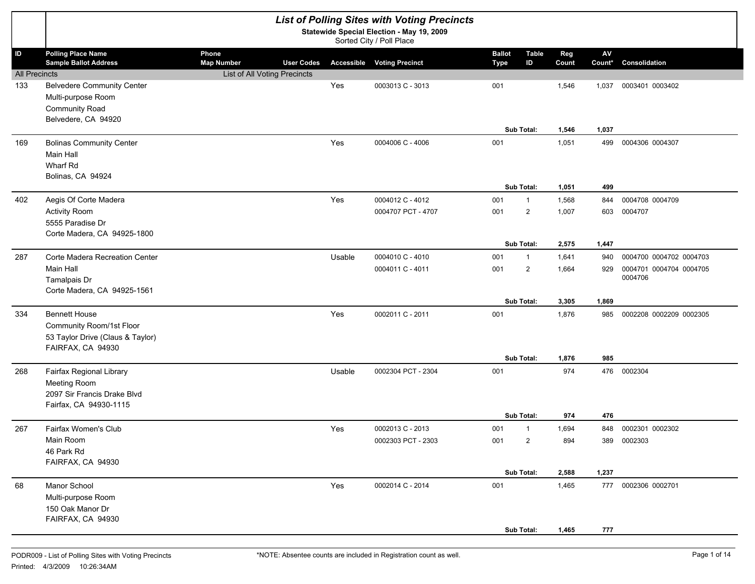|                            |                                                                                                           |                                                            |                   |        | <b>List of Polling Sites with Voting Precincts</b>                    |                              |                    |                |                      |                                    |
|----------------------------|-----------------------------------------------------------------------------------------------------------|------------------------------------------------------------|-------------------|--------|-----------------------------------------------------------------------|------------------------------|--------------------|----------------|----------------------|------------------------------------|
|                            |                                                                                                           |                                                            |                   |        | Statewide Special Election - May 19, 2009<br>Sorted City / Poll Place |                              |                    |                |                      |                                    |
| ID<br><b>All Precincts</b> | <b>Polling Place Name</b><br><b>Sample Ballot Address</b>                                                 | Phone<br><b>Map Number</b><br>List of All Voting Precincts | <b>User Codes</b> |        | <b>Accessible Voting Precinct</b>                                     | <b>Ballot</b><br><b>Type</b> | <b>Table</b><br>ID | Reg<br>Count   | ${\sf AV}$<br>Count* | Consolidation                      |
| 133                        | <b>Belvedere Community Center</b><br>Multi-purpose Room<br>Community Road<br>Belvedere, CA 94920          |                                                            |                   | Yes    | 0003013 C - 3013                                                      | 001                          |                    | 1,546          | 1,037                | 0003401 0003402                    |
| 169                        | <b>Bolinas Community Center</b><br>Main Hall<br>Wharf Rd<br>Bolinas, CA 94924                             |                                                            |                   | Yes    | 0004006 C - 4006                                                      | 001                          | Sub Total:         | 1,546<br>1,051 | 1,037<br>499         | 0004306 0004307                    |
|                            |                                                                                                           |                                                            |                   |        |                                                                       |                              | Sub Total:         | 1,051          | 499                  |                                    |
| 402                        | Aegis Of Corte Madera                                                                                     |                                                            |                   | Yes    | 0004012 C - 4012                                                      | 001                          | $\mathbf{1}$       | 1,568          | 844                  | 0004708 0004709                    |
|                            | <b>Activity Room</b><br>5555 Paradise Dr<br>Corte Madera, CA 94925-1800                                   |                                                            |                   |        | 0004707 PCT - 4707                                                    | 001                          | $\overline{2}$     | 1,007          | 603                  | 0004707                            |
|                            |                                                                                                           |                                                            |                   |        |                                                                       |                              | Sub Total:         | 2,575          | 1,447                |                                    |
| 287                        | Corte Madera Recreation Center                                                                            |                                                            |                   | Usable | 0004010 C - 4010                                                      | 001                          | $\mathbf{1}$       | 1,641          | 940                  | 0004700 0004702 0004703            |
|                            | Main Hall<br>Tamalpais Dr<br>Corte Madera, CA 94925-1561                                                  |                                                            |                   |        | 0004011 C - 4011                                                      | 001                          | $\overline{2}$     | 1,664          | 929                  | 0004701 0004704 0004705<br>0004706 |
|                            |                                                                                                           |                                                            |                   |        |                                                                       |                              | Sub Total:         | 3,305          | 1,869                |                                    |
| 334                        | <b>Bennett House</b><br>Community Room/1st Floor<br>53 Taylor Drive (Claus & Taylor)<br>FAIRFAX, CA 94930 |                                                            |                   | Yes    | 0002011 C - 2011                                                      | 001                          |                    | 1,876          | 985                  | 0002208 0002209 0002305            |
|                            |                                                                                                           |                                                            |                   |        |                                                                       |                              | Sub Total:         | 1,876          | 985                  |                                    |
| 268                        | Fairfax Regional Library<br>Meeting Room<br>2097 Sir Francis Drake Blvd<br>Fairfax, CA 94930-1115         |                                                            |                   | Usable | 0002304 PCT - 2304                                                    | 001                          |                    | 974            |                      | 476 0002304                        |
|                            |                                                                                                           |                                                            |                   |        |                                                                       |                              | Sub Total:         | 974            | 476                  |                                    |
| 267                        | Fairfax Women's Club                                                                                      |                                                            |                   | Yes    | 0002013 C - 2013                                                      | 001                          | $\mathbf{1}$       | 1,694          | 848                  | 0002301 0002302                    |
|                            | Main Room<br>46 Park Rd<br>FAIRFAX, CA 94930                                                              |                                                            |                   |        | 0002303 PCT - 2303                                                    | 001                          | 2                  | 894            |                      | 389 0002303                        |
|                            |                                                                                                           |                                                            |                   |        |                                                                       |                              | Sub Total:         | 2,588          | 1,237                |                                    |
| 68                         | Manor School<br>Multi-purpose Room<br>150 Oak Manor Dr<br>FAIRFAX, CA 94930                               |                                                            |                   | Yes    | 0002014 C - 2014                                                      | 001                          | Sub Total:         | 1,465<br>1,465 | 777                  | 777 0002306 0002701                |
|                            |                                                                                                           |                                                            |                   |        |                                                                       |                              |                    |                |                      |                                    |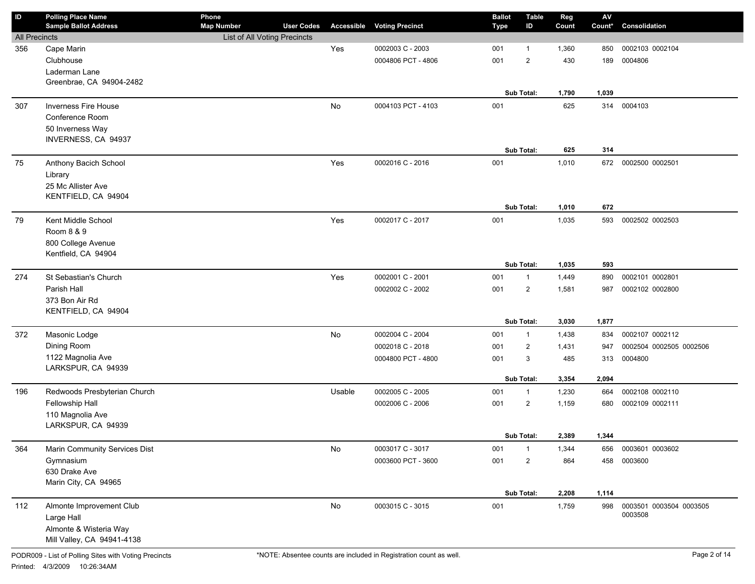| ID                   | <b>Polling Place Name</b><br><b>Sample Ballot Address</b> | Phone<br><b>Map Number</b>   | <b>User Codes</b> | Accessible | <b>Voting Precinct</b> | <b>Ballot</b><br><b>Type</b> | <b>Table</b><br>ID | Reg<br>Count | ${\sf AV}$<br>Count* | Consolidation           |
|----------------------|-----------------------------------------------------------|------------------------------|-------------------|------------|------------------------|------------------------------|--------------------|--------------|----------------------|-------------------------|
| <b>All Precincts</b> |                                                           | List of All Voting Precincts |                   |            |                        |                              |                    |              |                      |                         |
| 356                  | Cape Marin                                                |                              |                   | Yes        | 0002003 C - 2003       | 001                          | $\mathbf 1$        | 1,360        | 850                  | 0002103 0002104         |
|                      | Clubhouse                                                 |                              |                   |            | 0004806 PCT - 4806     | 001                          | $\mathbf{2}$       | 430          | 189                  | 0004806                 |
|                      | Laderman Lane                                             |                              |                   |            |                        |                              |                    |              |                      |                         |
|                      | Greenbrae, CA 94904-2482                                  |                              |                   |            |                        |                              |                    |              |                      |                         |
|                      |                                                           |                              |                   |            |                        |                              | Sub Total:         | 1,790        | 1,039                |                         |
| 307                  | <b>Inverness Fire House</b>                               |                              |                   | No         | 0004103 PCT - 4103     | 001                          |                    | 625          | 314                  | 0004103                 |
|                      | Conference Room                                           |                              |                   |            |                        |                              |                    |              |                      |                         |
|                      | 50 Inverness Way                                          |                              |                   |            |                        |                              |                    |              |                      |                         |
|                      | INVERNESS, CA 94937                                       |                              |                   |            |                        |                              |                    |              |                      |                         |
|                      |                                                           |                              |                   |            |                        |                              | Sub Total:         | 625          | 314                  |                         |
| 75                   | Anthony Bacich School                                     |                              |                   | Yes        | 0002016 C - 2016       | 001                          |                    | 1,010        | 672                  | 0002500 0002501         |
|                      | Library<br>25 Mc Allister Ave                             |                              |                   |            |                        |                              |                    |              |                      |                         |
|                      | KENTFIELD, CA 94904                                       |                              |                   |            |                        |                              |                    |              |                      |                         |
|                      |                                                           |                              |                   |            |                        |                              | <b>Sub Total:</b>  | 1,010        | 672                  |                         |
| 79                   | Kent Middle School                                        |                              |                   | Yes        | 0002017 C - 2017       | 001                          |                    | 1,035        | 593                  | 0002502 0002503         |
|                      | Room 8 & 9                                                |                              |                   |            |                        |                              |                    |              |                      |                         |
|                      | 800 College Avenue                                        |                              |                   |            |                        |                              |                    |              |                      |                         |
|                      | Kentfield, CA 94904                                       |                              |                   |            |                        |                              |                    |              |                      |                         |
|                      |                                                           |                              |                   |            |                        |                              | Sub Total:         | 1,035        | 593                  |                         |
| 274                  | St Sebastian's Church                                     |                              |                   | Yes        | 0002001 C - 2001       | 001                          | $\mathbf{1}$       | 1,449        | 890                  | 0002101 0002801         |
|                      | Parish Hall                                               |                              |                   |            | 0002002 C - 2002       | 001                          | $\overline{2}$     | 1,581        | 987                  | 0002102 0002800         |
|                      | 373 Bon Air Rd                                            |                              |                   |            |                        |                              |                    |              |                      |                         |
|                      | KENTFIELD, CA 94904                                       |                              |                   |            |                        |                              |                    |              |                      |                         |
|                      |                                                           |                              |                   |            |                        |                              | Sub Total:         | 3,030        | 1,877                |                         |
| 372                  | Masonic Lodge                                             |                              |                   | No         | 0002004 C - 2004       | 001                          | $\mathbf{1}$       | 1,438        | 834                  | 0002107 0002112         |
|                      | Dining Room                                               |                              |                   |            | 0002018 C - 2018       | 001                          | $\overline{2}$     | 1,431        | 947                  | 0002504 0002505 0002506 |
|                      | 1122 Magnolia Ave<br>LARKSPUR, CA 94939                   |                              |                   |            | 0004800 PCT - 4800     | 001                          | 3                  | 485          | 313                  | 0004800                 |
|                      |                                                           |                              |                   |            |                        |                              | Sub Total:         | 3,354        | 2,094                |                         |
| 196                  | Redwoods Presbyterian Church                              |                              |                   | Usable     | 0002005 C - 2005       | 001                          | $\mathbf{1}$       | 1,230        | 664                  | 0002108 0002110         |
|                      | Fellowship Hall                                           |                              |                   |            | 0002006 C - 2006       | 001                          | $\overline{2}$     | 1,159        | 680                  | 0002109 0002111         |
|                      | 110 Magnolia Ave                                          |                              |                   |            |                        |                              |                    |              |                      |                         |
|                      | LARKSPUR, CA 94939                                        |                              |                   |            |                        |                              |                    |              |                      |                         |
|                      |                                                           |                              |                   |            |                        |                              | Sub Total:         | 2,389        | 1,344                |                         |
| 364                  | Marin Community Services Dist                             |                              |                   | No         | 0003017 C - 3017       | 001                          | $\overline{1}$     | 1,344        | 656                  | 0003601 0003602         |
|                      | Gymnasium                                                 |                              |                   |            | 0003600 PCT - 3600     | 001                          | 2                  | 864          | 458                  | 0003600                 |
|                      | 630 Drake Ave                                             |                              |                   |            |                        |                              |                    |              |                      |                         |
|                      | Marin City, CA 94965                                      |                              |                   |            |                        |                              | Sub Total:         | 2,208        | 1,114                |                         |
| 112                  | Almonte Improvement Club                                  |                              |                   | No         | 0003015 C - 3015       | 001                          |                    | 1,759        | 998                  | 0003501 0003504 0003505 |
|                      | Large Hall                                                |                              |                   |            |                        |                              |                    |              |                      | 0003508                 |
|                      | Almonte & Wisteria Way                                    |                              |                   |            |                        |                              |                    |              |                      |                         |
|                      | Mill Valley, CA 94941-4138                                |                              |                   |            |                        |                              |                    |              |                      |                         |
|                      |                                                           |                              |                   |            |                        |                              |                    |              |                      |                         |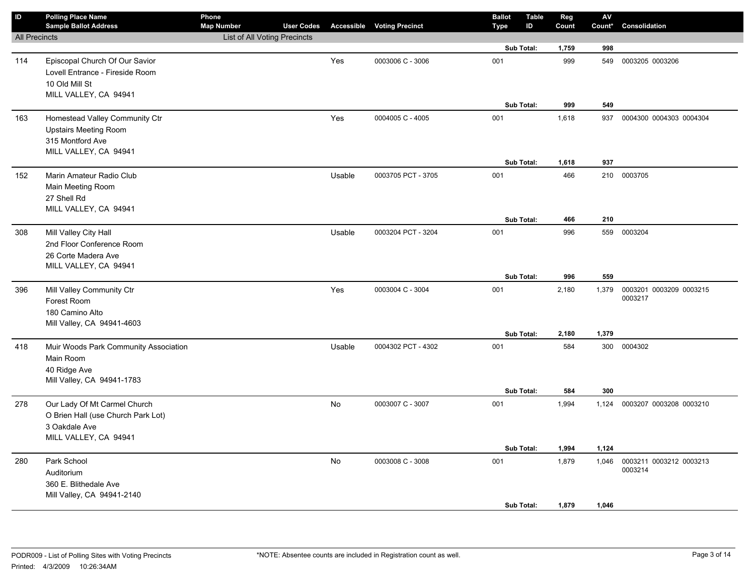| $\overline{D}$       | <b>Polling Place Name</b><br><b>Sample Ballot Address</b> | Phone<br><b>Map Number</b>   | <b>User Codes</b> |           | <b>Accessible Voting Precinct</b> | <b>Ballot</b><br>Type | <b>Table</b><br>ID | Reg<br>Count | ${\sf AV}$<br>Count* | Consolidation                 |
|----------------------|-----------------------------------------------------------|------------------------------|-------------------|-----------|-----------------------------------|-----------------------|--------------------|--------------|----------------------|-------------------------------|
| <b>All Precincts</b> |                                                           | List of All Voting Precincts |                   |           |                                   |                       |                    |              |                      |                               |
|                      |                                                           |                              |                   |           |                                   |                       | Sub Total:         | 1,759        | 998                  |                               |
| 114                  | Episcopal Church Of Our Savior                            |                              |                   | Yes       | 0003006 C - 3006                  | 001                   |                    | 999          | 549                  | 0003205 0003206               |
|                      | Lovell Entrance - Fireside Room                           |                              |                   |           |                                   |                       |                    |              |                      |                               |
|                      | 10 Old Mill St                                            |                              |                   |           |                                   |                       |                    |              |                      |                               |
|                      | MILL VALLEY, CA 94941                                     |                              |                   |           |                                   |                       |                    |              |                      |                               |
|                      |                                                           |                              |                   |           |                                   |                       | Sub Total:         | 999          | 549                  |                               |
| 163                  | Homestead Valley Community Ctr                            |                              |                   | Yes       | 0004005 C - 4005                  | 001                   |                    | 1,618        | 937                  | 0004300 0004303 0004304       |
|                      | <b>Upstairs Meeting Room</b>                              |                              |                   |           |                                   |                       |                    |              |                      |                               |
|                      | 315 Montford Ave                                          |                              |                   |           |                                   |                       |                    |              |                      |                               |
|                      | MILL VALLEY, CA 94941                                     |                              |                   |           |                                   |                       | Sub Total:         | 1,618        | 937                  |                               |
|                      |                                                           |                              |                   |           |                                   |                       |                    |              |                      |                               |
| 152                  | Marin Amateur Radio Club                                  |                              |                   | Usable    | 0003705 PCT - 3705                | 001                   |                    | 466          |                      | 210 0003705                   |
|                      | Main Meeting Room<br>27 Shell Rd                          |                              |                   |           |                                   |                       |                    |              |                      |                               |
|                      | MILL VALLEY, CA 94941                                     |                              |                   |           |                                   |                       |                    |              |                      |                               |
|                      |                                                           |                              |                   |           |                                   |                       | <b>Sub Total:</b>  | 466          | 210                  |                               |
| 308                  | Mill Valley City Hall                                     |                              |                   | Usable    | 0003204 PCT - 3204                | 001                   |                    | 996          |                      | 559 0003204                   |
|                      | 2nd Floor Conference Room                                 |                              |                   |           |                                   |                       |                    |              |                      |                               |
|                      | 26 Corte Madera Ave                                       |                              |                   |           |                                   |                       |                    |              |                      |                               |
|                      | MILL VALLEY, CA 94941                                     |                              |                   |           |                                   |                       |                    |              |                      |                               |
|                      |                                                           |                              |                   |           |                                   |                       | Sub Total:         | 996          | 559                  |                               |
| 396                  | Mill Valley Community Ctr                                 |                              |                   | Yes       | 0003004 C - 3004                  | 001                   |                    | 2,180        | 1,379                | 0003201 0003209 0003215       |
|                      | Forest Room                                               |                              |                   |           |                                   |                       |                    |              |                      | 0003217                       |
|                      | 180 Camino Alto                                           |                              |                   |           |                                   |                       |                    |              |                      |                               |
|                      | Mill Valley, CA 94941-4603                                |                              |                   |           |                                   |                       |                    |              |                      |                               |
|                      |                                                           |                              |                   |           |                                   |                       | Sub Total:         | 2,180        | 1,379                |                               |
| 418                  | Muir Woods Park Community Association                     |                              |                   | Usable    | 0004302 PCT - 4302                | 001                   |                    | 584          |                      | 300 0004302                   |
|                      | Main Room                                                 |                              |                   |           |                                   |                       |                    |              |                      |                               |
|                      | 40 Ridge Ave                                              |                              |                   |           |                                   |                       |                    |              |                      |                               |
|                      | Mill Valley, CA 94941-1783                                |                              |                   |           |                                   |                       | Sub Total:         | 584          | 300                  |                               |
| 278                  | Our Lady Of Mt Carmel Church                              |                              |                   | <b>No</b> | 0003007 C - 3007                  | 001                   |                    | 1,994        |                      | 1,124 0003207 0003208 0003210 |
|                      | O Brien Hall (use Church Park Lot)                        |                              |                   |           |                                   |                       |                    |              |                      |                               |
|                      | 3 Oakdale Ave                                             |                              |                   |           |                                   |                       |                    |              |                      |                               |
|                      | MILL VALLEY, CA 94941                                     |                              |                   |           |                                   |                       |                    |              |                      |                               |
|                      |                                                           |                              |                   |           |                                   |                       | Sub Total:         | 1,994        | 1,124                |                               |
| 280                  | Park School                                               |                              |                   | No        | 0003008 C - 3008                  | 001                   |                    | 1,879        | 1,046                | 0003211 0003212 0003213       |
|                      | Auditorium                                                |                              |                   |           |                                   |                       |                    |              |                      | 0003214                       |
|                      | 360 E. Blithedale Ave                                     |                              |                   |           |                                   |                       |                    |              |                      |                               |
|                      | Mill Valley, CA 94941-2140                                |                              |                   |           |                                   |                       |                    |              |                      |                               |
|                      |                                                           |                              |                   |           |                                   |                       | <b>Sub Total:</b>  | 1,879        | 1,046                |                               |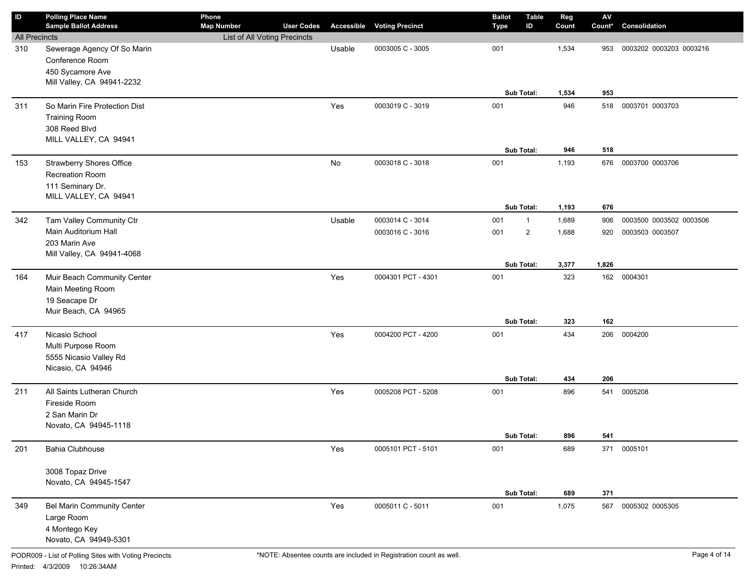| ID                   | <b>Polling Place Name</b><br><b>Sample Ballot Address</b>                                        | Phone<br><b>Map Number</b>   | <b>User Codes</b> |        | <b>Accessible Voting Precinct</b> | <b>Ballot</b><br>Type | <b>Table</b><br>ID | Reg<br>Count   | ${\sf AV}$<br>Count* | Consolidation           |
|----------------------|--------------------------------------------------------------------------------------------------|------------------------------|-------------------|--------|-----------------------------------|-----------------------|--------------------|----------------|----------------------|-------------------------|
| <b>All Precincts</b> |                                                                                                  | List of All Voting Precincts |                   |        |                                   |                       |                    |                |                      |                         |
| 310                  | Sewerage Agency Of So Marin<br>Conference Room<br>450 Sycamore Ave<br>Mill Valley, CA 94941-2232 |                              |                   | Usable | 0003005 C - 3005                  | 001                   |                    | 1,534          | 953                  | 0003202 0003203 0003216 |
|                      |                                                                                                  |                              |                   |        |                                   |                       | Sub Total:         | 1,534          | 953                  |                         |
| 311                  | So Marin Fire Protection Dist<br><b>Training Room</b><br>308 Reed Blvd<br>MILL VALLEY, CA 94941  |                              |                   | Yes    | 0003019 C - 3019                  | 001                   | Sub Total:         | 946<br>946     | 518<br>518           | 0003701 0003703         |
| 153                  | <b>Strawberry Shores Office</b><br>Recreation Room<br>111 Seminary Dr.<br>MILL VALLEY, CA 94941  |                              |                   | No     | 0003018 C - 3018                  | 001                   | Sub Total:         | 1,193<br>1,193 | 676<br>676           | 0003700 0003706         |
| 342                  | Tam Valley Community Ctr                                                                         |                              |                   | Usable | 0003014 C - 3014                  | 001                   | $\mathbf{1}$       | 1,689          | 906                  | 0003500 0003502 0003506 |
|                      | Main Auditorium Hall<br>203 Marin Ave<br>Mill Valley, CA 94941-4068                              |                              |                   |        | 0003016 C - 3016                  | 001                   | $\overline{2}$     | 1,688          | 920                  | 0003503 0003507         |
|                      |                                                                                                  |                              |                   |        |                                   |                       | Sub Total:         | 3,377          | 1,826                |                         |
| 164                  | Muir Beach Community Center<br>Main Meeting Room<br>19 Seacape Dr<br>Muir Beach, CA 94965        |                              |                   | Yes    | 0004301 PCT - 4301                | 001                   |                    | 323            | 162                  | 0004301                 |
|                      |                                                                                                  |                              |                   |        |                                   |                       | Sub Total:         | 323            | 162                  |                         |
| 417                  | Nicasio School<br>Multi Purpose Room<br>5555 Nicasio Valley Rd<br>Nicasio, CA 94946              |                              |                   | Yes    | 0004200 PCT - 4200                | 001                   | Sub Total:         | 434<br>434     | 206<br>206           | 0004200                 |
| 211                  | All Saints Lutheran Church<br>Fireside Room<br>2 San Marin Dr<br>Novato, CA 94945-1118           |                              |                   | Yes    | 0005208 PCT - 5208                | 001                   |                    | 896            | 541                  | 0005208                 |
|                      |                                                                                                  |                              |                   |        |                                   |                       | Sub Total:         | 896            | 541                  |                         |
| 201                  | Bahia Clubhouse<br>3008 Topaz Drive<br>Novato, CA 94945-1547                                     |                              |                   | Yes    | 0005101 PCT - 5101                | 001                   |                    | 689            | 371                  | 0005101                 |
|                      |                                                                                                  |                              |                   |        |                                   |                       | Sub Total:         | 689            | 371                  |                         |
| 349                  | Bel Marin Community Center<br>Large Room<br>4 Montego Key<br>Novato, CA 94949-5301               |                              |                   | Yes    | 0005011 C - 5011                  | 001                   |                    | 1,075          | 567                  | 0005302 0005305         |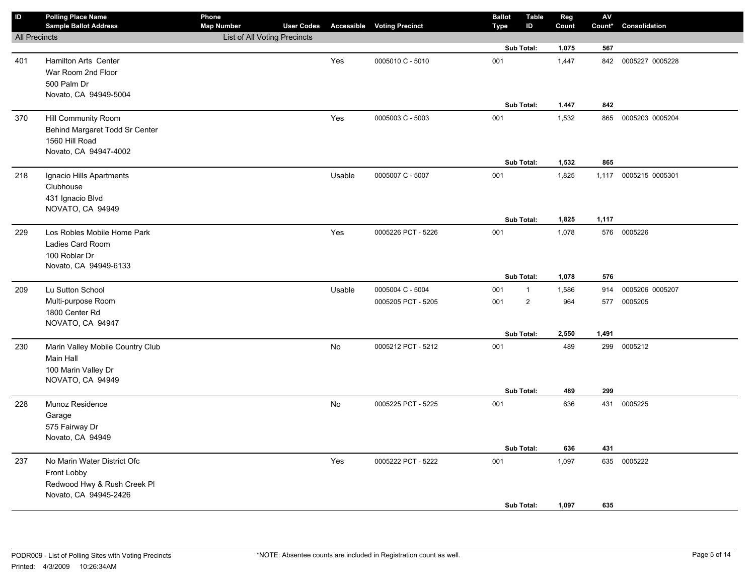| ID                   | <b>Polling Place Name</b><br><b>Sample Ballot Address</b> | Phone<br><b>Map Number</b>   | <b>User Codes</b> |           | <b>Accessible Voting Precinct</b> | <b>Ballot</b><br>Type | <b>Table</b><br>ID | Reg<br>Count | ${\sf AV}$<br>Count* | Consolidation       |
|----------------------|-----------------------------------------------------------|------------------------------|-------------------|-----------|-----------------------------------|-----------------------|--------------------|--------------|----------------------|---------------------|
| <b>All Precincts</b> |                                                           | List of All Voting Precincts |                   |           |                                   |                       |                    |              |                      |                     |
|                      |                                                           |                              |                   |           |                                   |                       | Sub Total:         | 1,075        | 567                  |                     |
| 401                  | Hamilton Arts Center                                      |                              |                   | Yes       | 0005010 C - 5010                  | 001                   |                    | 1,447        | 842                  | 0005227 0005228     |
|                      | War Room 2nd Floor                                        |                              |                   |           |                                   |                       |                    |              |                      |                     |
|                      | 500 Palm Dr                                               |                              |                   |           |                                   |                       |                    |              |                      |                     |
|                      | Novato, CA 94949-5004                                     |                              |                   |           |                                   |                       |                    |              |                      |                     |
|                      |                                                           |                              |                   |           |                                   |                       | Sub Total:         | 1,447        | 842                  |                     |
| 370                  | Hill Community Room                                       |                              |                   | Yes       | 0005003 C - 5003                  | 001                   |                    | 1,532        |                      | 865 0005203 0005204 |
|                      | Behind Margaret Todd Sr Center                            |                              |                   |           |                                   |                       |                    |              |                      |                     |
|                      | 1560 Hill Road                                            |                              |                   |           |                                   |                       |                    |              |                      |                     |
|                      | Novato, CA 94947-4002                                     |                              |                   |           |                                   |                       |                    |              |                      |                     |
|                      |                                                           |                              |                   |           |                                   |                       | Sub Total:         | 1,532        | 865                  |                     |
| 218                  | Ignacio Hills Apartments                                  |                              |                   | Usable    | 0005007 C - 5007                  | 001                   |                    | 1,825        | 1,117                | 0005215 0005301     |
|                      | Clubhouse                                                 |                              |                   |           |                                   |                       |                    |              |                      |                     |
|                      | 431 Ignacio Blvd                                          |                              |                   |           |                                   |                       |                    |              |                      |                     |
|                      | NOVATO, CA 94949                                          |                              |                   |           |                                   |                       | Sub Total:         | 1,825        | 1,117                |                     |
| 229                  | Los Robles Mobile Home Park                               |                              |                   | Yes       | 0005226 PCT - 5226                | 001                   |                    | 1,078        |                      | 576 0005226         |
|                      | Ladies Card Room                                          |                              |                   |           |                                   |                       |                    |              |                      |                     |
|                      | 100 Roblar Dr                                             |                              |                   |           |                                   |                       |                    |              |                      |                     |
|                      | Novato, CA 94949-6133                                     |                              |                   |           |                                   |                       |                    |              |                      |                     |
|                      |                                                           |                              |                   |           |                                   |                       | Sub Total:         | 1,078        | 576                  |                     |
| 209                  | Lu Sutton School                                          |                              |                   | Usable    | 0005004 C - 5004                  | 001                   | $\overline{1}$     | 1,586        | 914                  | 0005206 0005207     |
|                      | Multi-purpose Room                                        |                              |                   |           | 0005205 PCT - 5205                | 001                   | $\overline{2}$     | 964          | 577                  | 0005205             |
|                      | 1800 Center Rd                                            |                              |                   |           |                                   |                       |                    |              |                      |                     |
|                      | NOVATO, CA 94947                                          |                              |                   |           |                                   |                       |                    |              |                      |                     |
|                      |                                                           |                              |                   |           |                                   |                       | Sub Total:         | 2,550        | 1,491                |                     |
| 230                  | Marin Valley Mobile Country Club                          |                              |                   | <b>No</b> | 0005212 PCT - 5212                | 001                   |                    | 489          | 299                  | 0005212             |
|                      | Main Hall                                                 |                              |                   |           |                                   |                       |                    |              |                      |                     |
|                      | 100 Marin Valley Dr                                       |                              |                   |           |                                   |                       |                    |              |                      |                     |
|                      | NOVATO, CA 94949                                          |                              |                   |           |                                   |                       |                    |              |                      |                     |
|                      |                                                           |                              |                   |           |                                   |                       | Sub Total:         | 489          | 299                  |                     |
| 228                  | Munoz Residence                                           |                              |                   | <b>No</b> | 0005225 PCT - 5225                | 001                   |                    | 636          |                      | 431 0005225         |
|                      | Garage                                                    |                              |                   |           |                                   |                       |                    |              |                      |                     |
|                      | 575 Fairway Dr                                            |                              |                   |           |                                   |                       |                    |              |                      |                     |
|                      | Novato, CA 94949                                          |                              |                   |           |                                   |                       | Sub Total:         |              |                      |                     |
|                      |                                                           |                              |                   |           |                                   |                       |                    | 636          | 431                  |                     |
| 237                  | No Marin Water District Ofc                               |                              |                   | Yes       | 0005222 PCT - 5222                | 001                   |                    | 1,097        |                      | 635 0005222         |
|                      | Front Lobby                                               |                              |                   |           |                                   |                       |                    |              |                      |                     |
|                      | Redwood Hwy & Rush Creek Pl<br>Novato, CA 94945-2426      |                              |                   |           |                                   |                       |                    |              |                      |                     |
|                      |                                                           |                              |                   |           |                                   |                       | Sub Total:         | 1,097        | 635                  |                     |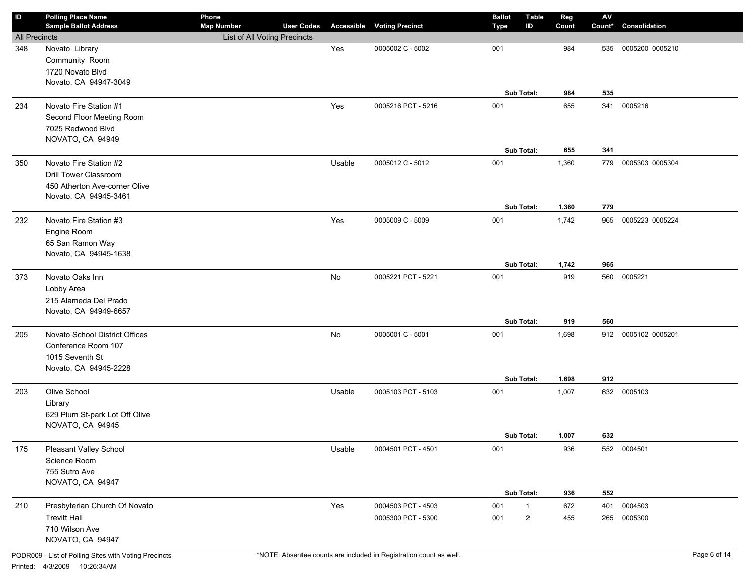| ID                   | <b>Polling Place Name</b><br><b>Sample Ballot Address</b> | Phone<br><b>Map Number</b>   | <b>User Codes</b> |        | <b>Accessible Voting Precinct</b> | <b>Ballot</b><br><b>Type</b> | <b>Table</b><br>ID | Reg<br>Count | $\mathsf{A}\mathsf{V}$<br>Count* | Consolidation   |
|----------------------|-----------------------------------------------------------|------------------------------|-------------------|--------|-----------------------------------|------------------------------|--------------------|--------------|----------------------------------|-----------------|
| <b>All Precincts</b> |                                                           | List of All Voting Precincts |                   |        |                                   |                              |                    |              |                                  |                 |
| 348                  | Novato Library                                            |                              |                   | Yes    | 0005002 C - 5002                  | 001                          |                    | 984          | 535                              | 0005200 0005210 |
|                      | Community Room                                            |                              |                   |        |                                   |                              |                    |              |                                  |                 |
|                      | 1720 Novato Blvd                                          |                              |                   |        |                                   |                              |                    |              |                                  |                 |
|                      | Novato, CA 94947-3049                                     |                              |                   |        |                                   |                              |                    |              |                                  |                 |
|                      |                                                           |                              |                   |        |                                   |                              | Sub Total:         | 984          | 535                              |                 |
| 234                  | Novato Fire Station #1                                    |                              |                   | Yes    | 0005216 PCT - 5216                | 001                          |                    | 655          | 341                              | 0005216         |
|                      | Second Floor Meeting Room                                 |                              |                   |        |                                   |                              |                    |              |                                  |                 |
|                      | 7025 Redwood Blvd                                         |                              |                   |        |                                   |                              |                    |              |                                  |                 |
|                      | NOVATO, CA 94949                                          |                              |                   |        |                                   |                              |                    |              |                                  |                 |
|                      |                                                           |                              |                   |        |                                   |                              | Sub Total:         | 655          | 341                              |                 |
| 350                  | Novato Fire Station #2                                    |                              |                   | Usable | 0005012 C - 5012                  | 001                          |                    | 1,360        | 779                              | 0005303 0005304 |
|                      | <b>Drill Tower Classroom</b>                              |                              |                   |        |                                   |                              |                    |              |                                  |                 |
|                      | 450 Atherton Ave-corner Olive                             |                              |                   |        |                                   |                              |                    |              |                                  |                 |
|                      | Novato, CA 94945-3461                                     |                              |                   |        |                                   |                              | Sub Total:         | 1,360        | 779                              |                 |
|                      | Novato Fire Station #3                                    |                              |                   |        |                                   |                              |                    |              |                                  |                 |
| 232                  |                                                           |                              |                   | Yes    | 0005009 C - 5009                  | 001                          |                    | 1,742        | 965                              | 0005223 0005224 |
|                      | Engine Room<br>65 San Ramon Way                           |                              |                   |        |                                   |                              |                    |              |                                  |                 |
|                      | Novato, CA 94945-1638                                     |                              |                   |        |                                   |                              |                    |              |                                  |                 |
|                      |                                                           |                              |                   |        |                                   |                              | Sub Total:         | 1,742        | 965                              |                 |
| 373                  | Novato Oaks Inn                                           |                              |                   | No     | 0005221 PCT - 5221                | 001                          |                    | 919          | 560                              | 0005221         |
|                      | Lobby Area                                                |                              |                   |        |                                   |                              |                    |              |                                  |                 |
|                      | 215 Alameda Del Prado                                     |                              |                   |        |                                   |                              |                    |              |                                  |                 |
|                      | Novato, CA 94949-6657                                     |                              |                   |        |                                   |                              |                    |              |                                  |                 |
|                      |                                                           |                              |                   |        |                                   |                              | Sub Total:         | 919          | 560                              |                 |
| 205                  | Novato School District Offices                            |                              |                   | No     | 0005001 C - 5001                  | 001                          |                    | 1,698        | 912                              | 0005102 0005201 |
|                      | Conference Room 107                                       |                              |                   |        |                                   |                              |                    |              |                                  |                 |
|                      | 1015 Seventh St                                           |                              |                   |        |                                   |                              |                    |              |                                  |                 |
|                      | Novato, CA 94945-2228                                     |                              |                   |        |                                   |                              |                    |              |                                  |                 |
|                      |                                                           |                              |                   |        |                                   |                              | Sub Total:         | 1,698        | 912                              |                 |
| 203                  | Olive School                                              |                              |                   | Usable | 0005103 PCT - 5103                | 001                          |                    | 1,007        |                                  | 632 0005103     |
|                      | Library                                                   |                              |                   |        |                                   |                              |                    |              |                                  |                 |
|                      | 629 Plum St-park Lot Off Olive                            |                              |                   |        |                                   |                              |                    |              |                                  |                 |
|                      | NOVATO, CA 94945                                          |                              |                   |        |                                   |                              |                    |              |                                  |                 |
|                      |                                                           |                              |                   |        |                                   |                              | Sub Total:         | 1,007        | 632                              |                 |
| 175                  | Pleasant Valley School                                    |                              |                   | Usable | 0004501 PCT - 4501                | 001                          |                    | 936          |                                  | 552 0004501     |
|                      | Science Room                                              |                              |                   |        |                                   |                              |                    |              |                                  |                 |
|                      | 755 Sutro Ave                                             |                              |                   |        |                                   |                              |                    |              |                                  |                 |
|                      | NOVATO, CA 94947                                          |                              |                   |        |                                   |                              | Sub Total:         | 936          | 552                              |                 |
| 210                  | Presbyterian Church Of Novato                             |                              |                   | Yes    | 0004503 PCT - 4503                | 001                          | $\mathbf{1}$       | 672          | 401                              | 0004503         |
|                      | <b>Trevitt Hall</b>                                       |                              |                   |        |                                   |                              |                    | 455          |                                  |                 |
|                      | 710 Wilson Ave                                            |                              |                   |        | 0005300 PCT - 5300                | 001                          | $\overline{c}$     |              | 265                              | 0005300         |
|                      | NOVATO, CA 94947                                          |                              |                   |        |                                   |                              |                    |              |                                  |                 |
|                      |                                                           |                              |                   |        |                                   |                              |                    |              |                                  |                 |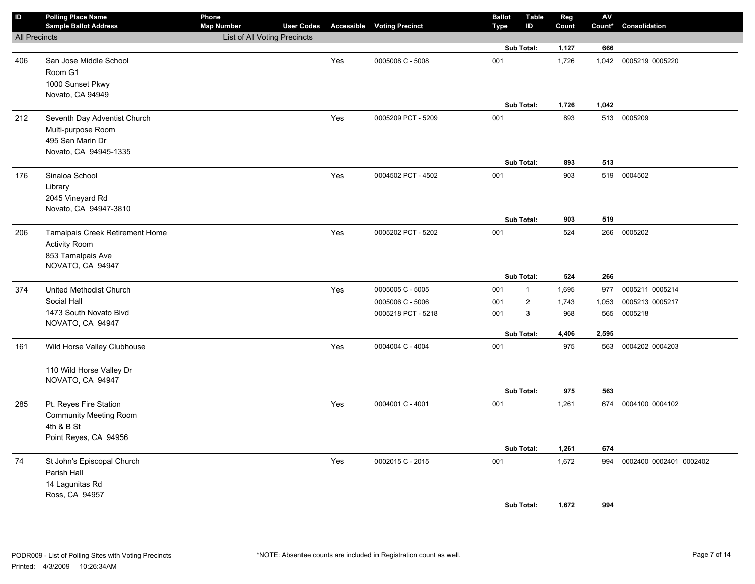| $\mathsf{ID}$        | <b>Polling Place Name</b><br><b>Sample Ballot Address</b>                                       | Phone<br><b>Map Number</b>          | <b>User Codes</b> |     | <b>Accessible Voting Precinct</b> | <b>Ballot</b><br><b>Type</b> | <b>Table</b><br>ID | Reg<br>Count   | ${\sf AV}$<br>Count* | Consolidation           |
|----------------------|-------------------------------------------------------------------------------------------------|-------------------------------------|-------------------|-----|-----------------------------------|------------------------------|--------------------|----------------|----------------------|-------------------------|
| <b>All Precincts</b> |                                                                                                 | <b>List of All Voting Precincts</b> |                   |     |                                   |                              |                    |                |                      |                         |
|                      |                                                                                                 |                                     |                   |     |                                   |                              | Sub Total:         | 1,127          | 666                  |                         |
| 406                  | San Jose Middle School<br>Room G1<br>1000 Sunset Pkwy<br>Novato, CA 94949                       |                                     |                   | Yes | 0005008 C - 5008                  | 001                          |                    | 1,726          | 1,042                | 0005219 0005220         |
|                      |                                                                                                 |                                     |                   |     |                                   |                              | Sub Total:         | 1,726          | 1,042                |                         |
| 212                  | Seventh Day Adventist Church<br>Multi-purpose Room<br>495 San Marin Dr<br>Novato, CA 94945-1335 |                                     |                   | Yes | 0005209 PCT - 5209                | 001                          | Sub Total:         | 893<br>893     | 513                  | 513 0005209             |
|                      |                                                                                                 |                                     |                   |     |                                   |                              |                    |                |                      |                         |
| 176                  | Sinaloa School<br>Library<br>2045 Vineyard Rd<br>Novato, CA 94947-3810                          |                                     |                   | Yes | 0004502 PCT - 4502                | 001                          | Sub Total:         | 903<br>903     | 519<br>519           | 0004502                 |
| 206                  | Tamalpais Creek Retirement Home                                                                 |                                     |                   | Yes | 0005202 PCT - 5202                | 001                          |                    | 524            | 266                  | 0005202                 |
|                      | <b>Activity Room</b><br>853 Tamalpais Ave<br>NOVATO, CA 94947                                   |                                     |                   |     |                                   |                              | Sub Total:         | 524            | 266                  |                         |
| 374                  | United Methodist Church                                                                         |                                     |                   | Yes | 0005005 C - 5005                  | 001                          | $\mathbf{1}$       | 1,695          | 977                  | 0005211 0005214         |
|                      | Social Hall                                                                                     |                                     |                   |     | 0005006 C - 5006                  | 001                          | $\overline{2}$     | 1,743          | 1,053                | 0005213 0005217         |
|                      | 1473 South Novato Blvd<br>NOVATO, CA 94947                                                      |                                     |                   |     | 0005218 PCT - 5218                | 001                          | $\mathbf{3}$       | 968            | 565                  | 0005218                 |
|                      |                                                                                                 |                                     |                   |     |                                   |                              | Sub Total:         | 4,406          | 2,595                |                         |
| 161                  | Wild Horse Valley Clubhouse<br>110 Wild Horse Valley Dr<br>NOVATO, CA 94947                     |                                     |                   | Yes | 0004004 C - 4004                  | 001                          |                    | 975            | 563                  | 0004202 0004203         |
|                      |                                                                                                 |                                     |                   |     |                                   |                              | Sub Total:         | 975            | 563                  |                         |
| 285                  | Pt. Reyes Fire Station<br><b>Community Meeting Room</b><br>4th & B St<br>Point Reyes, CA 94956  |                                     |                   | Yes | 0004001 C - 4001                  | 001                          |                    | 1,261          |                      | 674 0004100 0004102     |
|                      |                                                                                                 |                                     |                   |     |                                   |                              | Sub Total:         | 1,261          | 674                  |                         |
| 74                   | St John's Episcopal Church<br>Parish Hall<br>14 Lagunitas Rd<br>Ross, CA 94957                  |                                     |                   | Yes | 0002015 C - 2015                  | 001                          | Sub Total:         | 1,672<br>1,672 | 994<br>994           | 0002400 0002401 0002402 |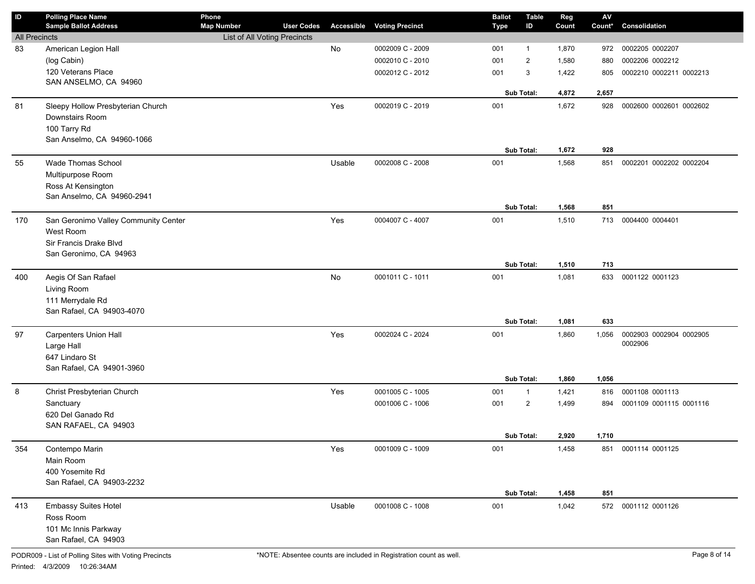| ID                   | <b>Polling Place Name</b><br><b>Sample Ballot Address</b> | Phone<br><b>Map Number</b>   | <b>User Codes</b> |        | <b>Accessible Voting Precinct</b> | <b>Ballot</b><br><b>Type</b> | <b>Table</b><br>ID | Reg<br>Count | ${\sf AV}$<br>Count* | Consolidation           |
|----------------------|-----------------------------------------------------------|------------------------------|-------------------|--------|-----------------------------------|------------------------------|--------------------|--------------|----------------------|-------------------------|
| <b>All Precincts</b> |                                                           | List of All Voting Precincts |                   |        |                                   |                              |                    |              |                      |                         |
| 83                   | American Legion Hall                                      |                              |                   | No     | 0002009 C - 2009                  | 001                          | $\mathbf{1}$       | 1,870        | 972                  | 0002205 0002207         |
|                      | (log Cabin)                                               |                              |                   |        | 0002010 C - 2010                  | 001                          | $\overline{2}$     | 1,580        | 880                  | 0002206 0002212         |
|                      | 120 Veterans Place                                        |                              |                   |        | 0002012 C - 2012                  | 001                          | 3                  | 1,422        | 805                  | 0002210 0002211 0002213 |
|                      | SAN ANSELMO, CA 94960                                     |                              |                   |        |                                   |                              |                    |              |                      |                         |
|                      |                                                           |                              |                   |        |                                   |                              | Sub Total:         | 4,872        | 2,657                |                         |
| 81                   | Sleepy Hollow Presbyterian Church                         |                              |                   | Yes    | 0002019 C - 2019                  | 001                          |                    | 1,672        | 928                  | 0002600 0002601 0002602 |
|                      | Downstairs Room                                           |                              |                   |        |                                   |                              |                    |              |                      |                         |
|                      | 100 Tarry Rd                                              |                              |                   |        |                                   |                              |                    |              |                      |                         |
|                      | San Anselmo, CA 94960-1066                                |                              |                   |        |                                   |                              |                    |              |                      |                         |
|                      |                                                           |                              |                   |        |                                   |                              | Sub Total:         | 1,672        | 928                  |                         |
| 55                   | Wade Thomas School                                        |                              |                   | Usable | 0002008 C - 2008                  | 001                          |                    | 1,568        | 851                  | 0002201 0002202 0002204 |
|                      | Multipurpose Room                                         |                              |                   |        |                                   |                              |                    |              |                      |                         |
|                      | Ross At Kensington                                        |                              |                   |        |                                   |                              |                    |              |                      |                         |
|                      | San Anselmo, CA 94960-2941                                |                              |                   |        |                                   |                              |                    |              |                      |                         |
|                      |                                                           |                              |                   |        |                                   |                              | Sub Total:         | 1,568        | 851                  |                         |
| 170                  | San Geronimo Valley Community Center                      |                              |                   | Yes    | 0004007 C - 4007                  | 001                          |                    | 1,510        | 713                  | 0004400 0004401         |
|                      | West Room                                                 |                              |                   |        |                                   |                              |                    |              |                      |                         |
|                      | Sir Francis Drake Blvd                                    |                              |                   |        |                                   |                              |                    |              |                      |                         |
|                      | San Geronimo, CA 94963                                    |                              |                   |        |                                   |                              |                    |              |                      |                         |
|                      |                                                           |                              |                   |        |                                   |                              | Sub Total:         | 1,510        | 713                  |                         |
| 400                  | Aegis Of San Rafael                                       |                              |                   | No     | 0001011 C - 1011                  | 001                          |                    | 1,081        | 633                  | 0001122 0001123         |
|                      | Living Room                                               |                              |                   |        |                                   |                              |                    |              |                      |                         |
|                      | 111 Merrydale Rd                                          |                              |                   |        |                                   |                              |                    |              |                      |                         |
|                      | San Rafael, CA 94903-4070                                 |                              |                   |        |                                   |                              |                    |              |                      |                         |
|                      |                                                           |                              |                   |        |                                   |                              | Sub Total:         | 1,081        | 633                  |                         |
| 97                   | <b>Carpenters Union Hall</b>                              |                              |                   | Yes    | 0002024 C - 2024                  | 001                          |                    | 1,860        | 1,056                | 0002903 0002904 0002905 |
|                      | Large Hall                                                |                              |                   |        |                                   |                              |                    |              |                      | 0002906                 |
|                      | 647 Lindaro St                                            |                              |                   |        |                                   |                              |                    |              |                      |                         |
|                      | San Rafael, CA 94901-3960                                 |                              |                   |        |                                   |                              |                    |              |                      |                         |
|                      |                                                           |                              |                   |        |                                   |                              | Sub Total:         | 1,860        | 1,056                |                         |
| 8                    | Christ Presbyterian Church                                |                              |                   | Yes    | 0001005 C - 1005                  | 001                          | $\mathbf{1}$       | 1,421        | 816                  | 0001108 0001113         |
|                      | Sanctuary                                                 |                              |                   |        | 0001006 C - 1006                  | 001                          | $\overline{2}$     | 1,499        | 894                  | 0001109 0001115 0001116 |
|                      | 620 Del Ganado Rd                                         |                              |                   |        |                                   |                              |                    |              |                      |                         |
|                      | SAN RAFAEL, CA 94903                                      |                              |                   |        |                                   |                              |                    |              |                      |                         |
|                      |                                                           |                              |                   |        |                                   |                              | Sub Total:         | 2,920        | 1,710                |                         |
| 354                  | Contempo Marin                                            |                              |                   | Yes    | 0001009 C - 1009                  | 001                          |                    | 1,458        | 851                  | 0001114 0001125         |
|                      | Main Room                                                 |                              |                   |        |                                   |                              |                    |              |                      |                         |
|                      | 400 Yosemite Rd                                           |                              |                   |        |                                   |                              |                    |              |                      |                         |
|                      | San Rafael, CA 94903-2232                                 |                              |                   |        |                                   |                              |                    |              |                      |                         |
|                      |                                                           |                              |                   |        |                                   |                              | Sub Total:         | 1,458        | 851                  |                         |
| 413                  | Embassy Suites Hotel                                      |                              |                   | Usable | 0001008 C - 1008                  | 001                          |                    | 1,042        |                      | 572 0001112 0001126     |
|                      | Ross Room                                                 |                              |                   |        |                                   |                              |                    |              |                      |                         |
|                      | 101 Mc Innis Parkway                                      |                              |                   |        |                                   |                              |                    |              |                      |                         |
|                      | San Rafael, CA 94903                                      |                              |                   |        |                                   |                              |                    |              |                      |                         |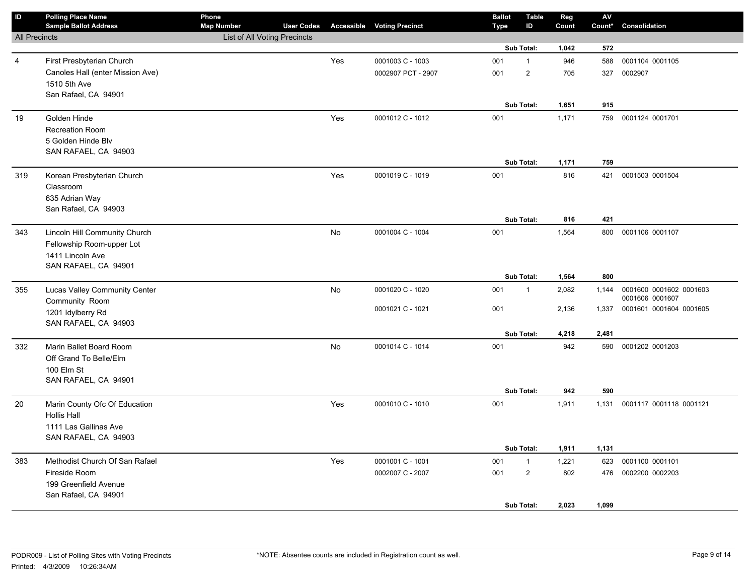| $\mathsf{ID}$        | <b>Polling Place Name</b><br><b>Sample Ballot Address</b> | Phone<br><b>Map Number</b>   | <b>User Codes</b> |           | <b>Accessible Voting Precinct</b> | <b>Ballot</b><br><b>Type</b> | <b>Table</b><br>ID      | Reg<br>Count | ${\sf AV}$<br>Count* | Consolidation           |
|----------------------|-----------------------------------------------------------|------------------------------|-------------------|-----------|-----------------------------------|------------------------------|-------------------------|--------------|----------------------|-------------------------|
| <b>All Precincts</b> |                                                           | List of All Voting Precincts |                   |           |                                   |                              |                         |              |                      |                         |
|                      |                                                           |                              |                   |           |                                   |                              | Sub Total:              | 1,042        | 572                  |                         |
| 4                    | First Presbyterian Church                                 |                              |                   | Yes       | 0001003 C - 1003                  | 001                          | $\mathbf{1}$            | 946          | 588                  | 0001104 0001105         |
|                      | Canoles Hall (enter Mission Ave)                          |                              |                   |           | 0002907 PCT - 2907                | 001                          | $\overline{\mathbf{c}}$ | 705          | 327                  | 0002907                 |
|                      | 1510 5th Ave                                              |                              |                   |           |                                   |                              |                         |              |                      |                         |
|                      | San Rafael, CA 94901                                      |                              |                   |           |                                   |                              |                         |              |                      |                         |
|                      |                                                           |                              |                   |           |                                   |                              | Sub Total:              | 1,651        | 915                  |                         |
| 19                   | Golden Hinde                                              |                              |                   | Yes       | 0001012 C - 1012                  | 001                          |                         | 1,171        | 759                  | 0001124 0001701         |
|                      | <b>Recreation Room</b>                                    |                              |                   |           |                                   |                              |                         |              |                      |                         |
|                      | 5 Golden Hinde Blv                                        |                              |                   |           |                                   |                              |                         |              |                      |                         |
|                      | SAN RAFAEL, CA 94903                                      |                              |                   |           |                                   |                              |                         |              |                      |                         |
|                      |                                                           |                              |                   |           |                                   |                              | Sub Total:              | 1,171        | 759                  |                         |
| 319                  | Korean Presbyterian Church                                |                              |                   | Yes       | 0001019 C - 1019                  | 001                          |                         | 816          | 421                  | 0001503 0001504         |
|                      | Classroom                                                 |                              |                   |           |                                   |                              |                         |              |                      |                         |
|                      | 635 Adrian Way                                            |                              |                   |           |                                   |                              |                         |              |                      |                         |
|                      | San Rafael, CA 94903                                      |                              |                   |           |                                   |                              |                         |              |                      |                         |
|                      |                                                           |                              |                   |           |                                   |                              | <b>Sub Total:</b>       | 816          | 421                  |                         |
| 343                  | Lincoln Hill Community Church                             |                              |                   | <b>No</b> | 0001004 C - 1004                  | 001                          |                         | 1,564        | 800                  | 0001106 0001107         |
|                      | Fellowship Room-upper Lot                                 |                              |                   |           |                                   |                              |                         |              |                      |                         |
|                      | 1411 Lincoln Ave<br>SAN RAFAEL, CA 94901                  |                              |                   |           |                                   |                              |                         |              |                      |                         |
|                      |                                                           |                              |                   |           |                                   |                              | Sub Total:              | 1,564        | 800                  |                         |
| 355                  | Lucas Valley Community Center                             |                              |                   | No        | 0001020 C - 1020                  | 001                          | $\mathbf{1}$            | 2,082        | 1,144                | 0001600 0001602 0001603 |
|                      | Community Room                                            |                              |                   |           |                                   |                              |                         |              |                      | 0001606 0001607         |
|                      | 1201 Idylberry Rd                                         |                              |                   |           | 0001021 C - 1021                  | 001                          |                         | 2,136        | 1,337                | 0001601 0001604 0001605 |
|                      | SAN RAFAEL, CA 94903                                      |                              |                   |           |                                   |                              |                         |              |                      |                         |
|                      |                                                           |                              |                   |           |                                   |                              | Sub Total:              | 4,218        | 2,481                |                         |
| 332                  | Marin Ballet Board Room                                   |                              |                   | <b>No</b> | 0001014 C - 1014                  | 001                          |                         | 942          | 590                  | 0001202 0001203         |
|                      | Off Grand To Belle/Elm                                    |                              |                   |           |                                   |                              |                         |              |                      |                         |
|                      | 100 Elm St                                                |                              |                   |           |                                   |                              |                         |              |                      |                         |
|                      | SAN RAFAEL, CA 94901                                      |                              |                   |           |                                   |                              |                         |              |                      |                         |
|                      |                                                           |                              |                   |           |                                   |                              | Sub Total:              | 942          | 590                  |                         |
| 20                   | Marin County Ofc Of Education                             |                              |                   | Yes       | 0001010 C - 1010                  | 001                          |                         | 1,911        | 1,131                | 0001117 0001118 0001121 |
|                      | <b>Hollis Hall</b>                                        |                              |                   |           |                                   |                              |                         |              |                      |                         |
|                      | 1111 Las Gallinas Ave                                     |                              |                   |           |                                   |                              |                         |              |                      |                         |
|                      | SAN RAFAEL, CA 94903                                      |                              |                   |           |                                   |                              |                         |              |                      |                         |
|                      |                                                           |                              |                   |           |                                   |                              | Sub Total:              | 1,911        | 1,131                |                         |
| 383                  | Methodist Church Of San Rafael                            |                              |                   | Yes       | 0001001 C - 1001                  | 001                          | $\mathbf{1}$            | 1,221        | 623                  | 0001100 0001101         |
|                      | Fireside Room                                             |                              |                   |           | 0002007 C - 2007                  | 001                          | $\overline{2}$          | 802          | 476                  | 0002200 0002203         |
|                      | 199 Greenfield Avenue                                     |                              |                   |           |                                   |                              |                         |              |                      |                         |
|                      | San Rafael, CA 94901                                      |                              |                   |           |                                   |                              |                         |              |                      |                         |
|                      |                                                           |                              |                   |           |                                   |                              | Sub Total:              | 2,023        | 1,099                |                         |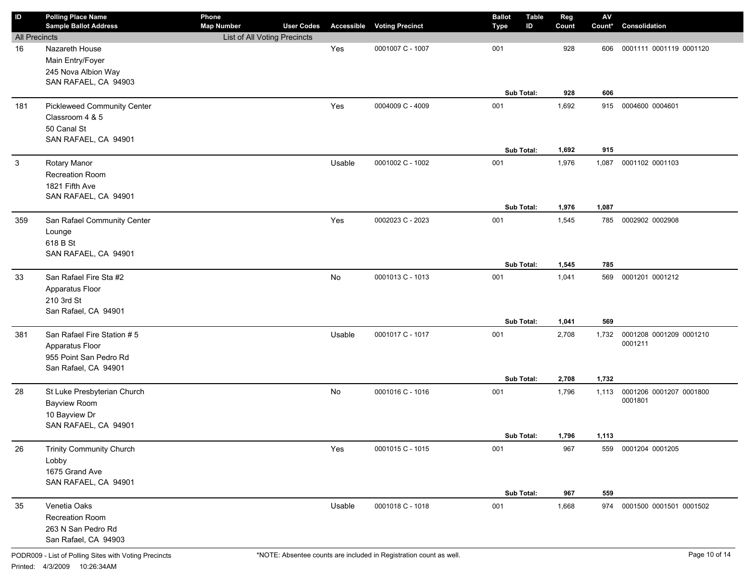| ID                   | <b>Polling Place Name</b><br><b>Sample Ballot Address</b>                                       | Phone<br><b>Map Number</b>   | <b>User Codes</b> |        | <b>Accessible Voting Precinct</b> | <b>Ballot</b><br><b>Type</b> | <b>Table</b><br>ID | Reg<br>Count   | $\mathsf{AV}$<br>Count* | Consolidation                      |
|----------------------|-------------------------------------------------------------------------------------------------|------------------------------|-------------------|--------|-----------------------------------|------------------------------|--------------------|----------------|-------------------------|------------------------------------|
| <b>All Precincts</b> |                                                                                                 | List of All Voting Precincts |                   |        |                                   |                              |                    |                |                         |                                    |
| 16                   | Nazareth House<br>Main Entry/Foyer<br>245 Nova Albion Way<br>SAN RAFAEL, CA 94903               |                              |                   | Yes    | 0001007 C - 1007                  | 001<br>Sub Total:            |                    | 928<br>928     | 606<br>606              | 0001111 0001119 0001120            |
| 181                  | <b>Pickleweed Community Center</b>                                                              |                              |                   | Yes    | 0004009 C - 4009                  | 001                          |                    | 1,692          | 915                     | 0004600 0004601                    |
|                      | Classroom 4 & 5<br>50 Canal St<br>SAN RAFAEL, CA 94901                                          |                              |                   |        |                                   | Sub Total:                   |                    | 1,692          | 915                     |                                    |
| 3                    | Rotary Manor                                                                                    |                              |                   | Usable | 0001002 C - 1002                  | 001                          |                    | 1,976          | 1,087                   | 0001102 0001103                    |
|                      | Recreation Room<br>1821 Fifth Ave<br>SAN RAFAEL, CA 94901                                       |                              |                   |        |                                   |                              |                    |                |                         |                                    |
|                      |                                                                                                 |                              |                   |        |                                   | Sub Total:                   |                    | 1,976          | 1,087                   |                                    |
| 359                  | San Rafael Community Center<br>Lounge<br>618 B St<br>SAN RAFAEL, CA 94901                       |                              |                   | Yes    | 0002023 C - 2023                  | 001<br>Sub Total:            |                    | 1,545<br>1,545 | 785<br>785              | 0002902 0002908                    |
| 33                   | San Rafael Fire Sta #2                                                                          |                              |                   | No     | 0001013 C - 1013                  | 001                          |                    | 1,041          | 569                     | 0001201 0001212                    |
|                      | Apparatus Floor<br>210 3rd St<br>San Rafael, CA 94901                                           |                              |                   |        |                                   |                              |                    |                |                         |                                    |
|                      |                                                                                                 |                              |                   |        |                                   | Sub Total:                   |                    | 1,041          | 569                     |                                    |
| 381                  | San Rafael Fire Station #5<br>Apparatus Floor<br>955 Point San Pedro Rd<br>San Rafael, CA 94901 |                              |                   | Usable | 0001017 C - 1017                  | 001<br>Sub Total:            |                    | 2,708<br>2,708 | 1,732<br>1,732          | 0001208 0001209 0001210<br>0001211 |
|                      |                                                                                                 |                              |                   | No     | 0001016 C - 1016                  | 001                          |                    |                |                         | 0001206 0001207 0001800            |
| 28                   | St Luke Presbyterian Church<br>Bayview Room<br>10 Bayview Dr<br>SAN RAFAEL, CA 94901            |                              |                   |        |                                   |                              |                    | 1,796          | 1,113                   | 0001801                            |
|                      |                                                                                                 |                              |                   |        |                                   | <b>Sub Total:</b>            |                    | 1,796          | 1,113                   |                                    |
| 26                   | <b>Trinity Community Church</b><br>Lobby<br>1675 Grand Ave<br>SAN RAFAEL, CA 94901              |                              |                   | Yes    | 0001015 C - 1015                  | 001                          |                    | 967            |                         | 559 0001204 0001205                |
|                      |                                                                                                 |                              |                   |        |                                   | Sub Total:                   |                    | 967            | 559                     |                                    |
| 35                   | Venetia Oaks<br>Recreation Room<br>263 N San Pedro Rd<br>San Rafael, CA 94903                   |                              |                   | Usable | 0001018 C - 1018                  | 001                          |                    | 1,668          |                         | 974 0001500 0001501 0001502        |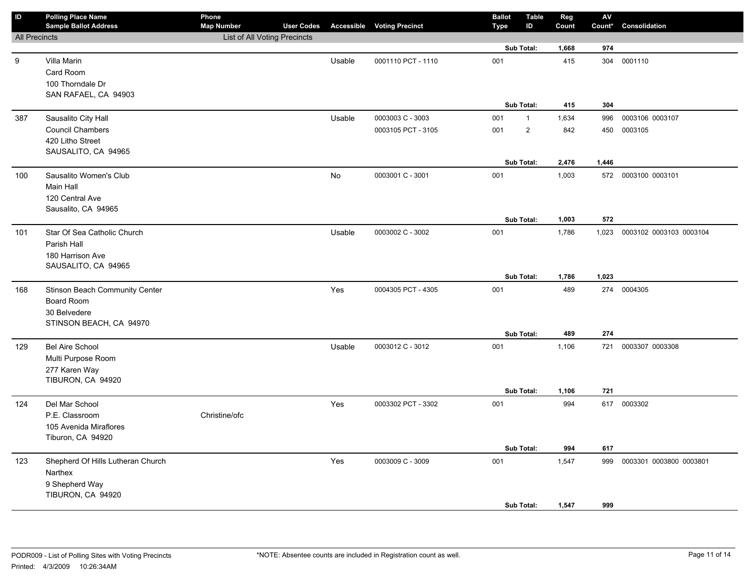| ID                   | <b>Polling Place Name</b><br><b>Sample Ballot Address</b> | Phone<br><b>Map Number</b>   | <b>User Codes</b> |        | <b>Accessible Voting Precinct</b> | <b>Ballot</b><br><b>Type</b> | <b>Table</b><br>ID | Reg<br>Count | ${\sf AV}$<br>Count* | Consolidation                 |
|----------------------|-----------------------------------------------------------|------------------------------|-------------------|--------|-----------------------------------|------------------------------|--------------------|--------------|----------------------|-------------------------------|
| <b>All Precincts</b> |                                                           | List of All Voting Precincts |                   |        |                                   |                              |                    |              |                      |                               |
|                      |                                                           |                              |                   |        |                                   |                              | Sub Total:         | 1,668        | 974                  |                               |
| 9                    | Villa Marin                                               |                              |                   | Usable | 0001110 PCT - 1110                | 001                          |                    | 415          |                      | 304 0001110                   |
|                      | Card Room                                                 |                              |                   |        |                                   |                              |                    |              |                      |                               |
|                      | 100 Thorndale Dr                                          |                              |                   |        |                                   |                              |                    |              |                      |                               |
|                      | SAN RAFAEL, CA 94903                                      |                              |                   |        |                                   |                              |                    |              |                      |                               |
|                      |                                                           |                              |                   |        |                                   |                              | Sub Total:         | 415          | 304                  |                               |
| 387                  | Sausalito City Hall                                       |                              |                   | Usable | 0003003 C - 3003                  | 001                          | $\mathbf{1}$       | 1,634        | 996                  | 0003106 0003107               |
|                      | Council Chambers                                          |                              |                   |        | 0003105 PCT - 3105                | 001                          | $\overline{2}$     | 842          |                      | 450 0003105                   |
|                      | 420 Litho Street                                          |                              |                   |        |                                   |                              |                    |              |                      |                               |
|                      | SAUSALITO, CA 94965                                       |                              |                   |        |                                   |                              |                    |              |                      |                               |
|                      |                                                           |                              |                   |        |                                   |                              | Sub Total:         | 2,476        | 1,446                |                               |
| 100                  | Sausalito Women's Club                                    |                              |                   | No     | 0003001 C - 3001                  | 001                          |                    | 1,003        |                      | 572 0003100 0003101           |
|                      | <b>Main Hall</b>                                          |                              |                   |        |                                   |                              |                    |              |                      |                               |
|                      | 120 Central Ave                                           |                              |                   |        |                                   |                              |                    |              |                      |                               |
|                      | Sausalito, CA 94965                                       |                              |                   |        |                                   |                              | Sub Total:         | 1,003        | 572                  |                               |
|                      | Star Of Sea Catholic Church                               |                              |                   | Usable | 0003002 C - 3002                  | 001                          |                    | 1,786        |                      | 1,023 0003102 0003103 0003104 |
| 101                  | Parish Hall                                               |                              |                   |        |                                   |                              |                    |              |                      |                               |
|                      | 180 Harrison Ave                                          |                              |                   |        |                                   |                              |                    |              |                      |                               |
|                      | SAUSALITO, CA 94965                                       |                              |                   |        |                                   |                              |                    |              |                      |                               |
|                      |                                                           |                              |                   |        |                                   |                              | Sub Total:         | 1,786        | 1,023                |                               |
| 168                  | Stinson Beach Community Center                            |                              |                   | Yes    | 0004305 PCT - 4305                | 001                          |                    | 489          |                      | 274 0004305                   |
|                      | Board Room                                                |                              |                   |        |                                   |                              |                    |              |                      |                               |
|                      | 30 Belvedere                                              |                              |                   |        |                                   |                              |                    |              |                      |                               |
|                      | STINSON BEACH, CA 94970                                   |                              |                   |        |                                   |                              |                    |              |                      |                               |
|                      |                                                           |                              |                   |        |                                   |                              | Sub Total:         | 489          | 274                  |                               |
| 129                  | <b>Bel Aire School</b>                                    |                              |                   | Usable | 0003012 C - 3012                  | 001                          |                    | 1,106        | 721                  | 0003307 0003308               |
|                      | Multi Purpose Room                                        |                              |                   |        |                                   |                              |                    |              |                      |                               |
|                      | 277 Karen Way                                             |                              |                   |        |                                   |                              |                    |              |                      |                               |
|                      | TIBURON, CA 94920                                         |                              |                   |        |                                   |                              |                    |              |                      |                               |
|                      |                                                           |                              |                   |        |                                   |                              | Sub Total:         | 1,106        | 721                  |                               |
| 124                  | Del Mar School                                            |                              |                   | Yes    | 0003302 PCT - 3302                | 001                          |                    | 994          |                      | 617 0003302                   |
|                      | P.E. Classroom                                            | Christine/ofc                |                   |        |                                   |                              |                    |              |                      |                               |
|                      | 105 Avenida Miraflores                                    |                              |                   |        |                                   |                              |                    |              |                      |                               |
|                      | Tiburon, CA 94920                                         |                              |                   |        |                                   |                              |                    |              |                      |                               |
|                      |                                                           |                              |                   |        |                                   |                              | Sub Total:         | 994          | 617                  |                               |
| 123                  | Shepherd Of Hills Lutheran Church                         |                              |                   | Yes    | 0003009 C - 3009                  | 001                          |                    | 1,547        | 999                  | 0003301 0003800 0003801       |
|                      | Narthex                                                   |                              |                   |        |                                   |                              |                    |              |                      |                               |
|                      | 9 Shepherd Way                                            |                              |                   |        |                                   |                              |                    |              |                      |                               |
|                      | TIBURON, CA 94920                                         |                              |                   |        |                                   |                              |                    |              |                      |                               |
|                      |                                                           |                              |                   |        |                                   |                              | Sub Total:         | 1,547        | 999                  |                               |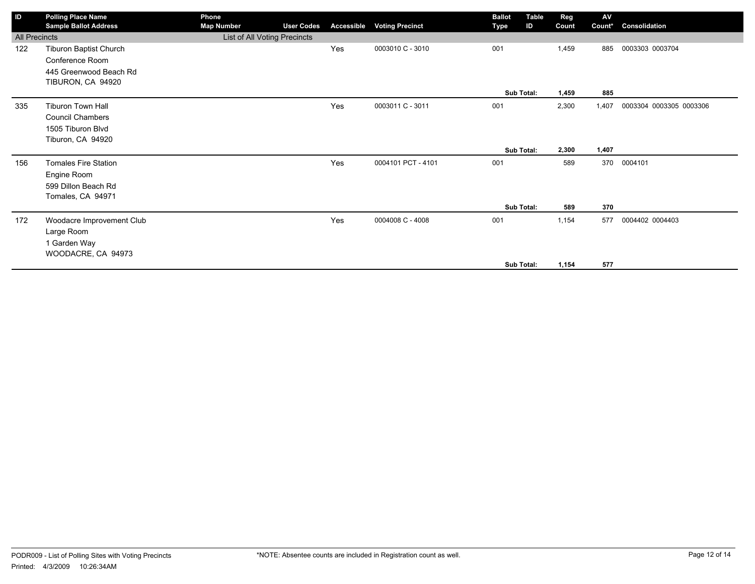| ID                   | <b>Polling Place Name</b>    | Phone                        |                   |                   |                        | <b>Ballot</b> | <b>Table</b> | Reg   | AV     |                         |
|----------------------|------------------------------|------------------------------|-------------------|-------------------|------------------------|---------------|--------------|-------|--------|-------------------------|
|                      | <b>Sample Ballot Address</b> | <b>Map Number</b>            | <b>User Codes</b> | <b>Accessible</b> | <b>Voting Precinct</b> | Type          | ID           | Count | Count* | Consolidation           |
| <b>All Precincts</b> |                              | List of All Voting Precincts |                   |                   |                        |               |              |       |        |                         |
| 122                  | Tiburon Baptist Church       |                              |                   | Yes               | 0003010 C - 3010       | 001           |              | 1,459 | 885    | 0003303 0003704         |
|                      | Conference Room              |                              |                   |                   |                        |               |              |       |        |                         |
|                      | 445 Greenwood Beach Rd       |                              |                   |                   |                        |               |              |       |        |                         |
|                      | TIBURON, CA 94920            |                              |                   |                   |                        |               |              |       |        |                         |
|                      |                              |                              |                   |                   |                        | Sub Total:    |              | 1,459 | 885    |                         |
| 335                  | <b>Tiburon Town Hall</b>     |                              |                   | Yes               | 0003011 C - 3011       | 001           |              | 2,300 | 1,407  | 0003304 0003305 0003306 |
|                      | <b>Council Chambers</b>      |                              |                   |                   |                        |               |              |       |        |                         |
|                      | 1505 Tiburon Blvd            |                              |                   |                   |                        |               |              |       |        |                         |
|                      | Tiburon, CA 94920            |                              |                   |                   |                        |               |              |       |        |                         |
|                      |                              |                              |                   |                   |                        | Sub Total:    |              | 2,300 | 1,407  |                         |
| 156                  | <b>Tomales Fire Station</b>  |                              |                   | Yes               | 0004101 PCT - 4101     | 001           |              | 589   | 370    | 0004101                 |
|                      | Engine Room                  |                              |                   |                   |                        |               |              |       |        |                         |
|                      | 599 Dillon Beach Rd          |                              |                   |                   |                        |               |              |       |        |                         |
|                      | Tomales, CA 94971            |                              |                   |                   |                        |               |              |       |        |                         |
|                      |                              |                              |                   |                   |                        | Sub Total:    |              | 589   | 370    |                         |
| 172                  | Woodacre Improvement Club    |                              |                   | Yes               | 0004008 C - 4008       | 001           |              | 1,154 | 577    | 0004402 0004403         |
|                      | Large Room                   |                              |                   |                   |                        |               |              |       |        |                         |
|                      | 1 Garden Way                 |                              |                   |                   |                        |               |              |       |        |                         |
|                      | WOODACRE, CA 94973           |                              |                   |                   |                        |               |              |       |        |                         |
|                      |                              |                              |                   |                   |                        | Sub Total:    |              | 1,154 | 577    |                         |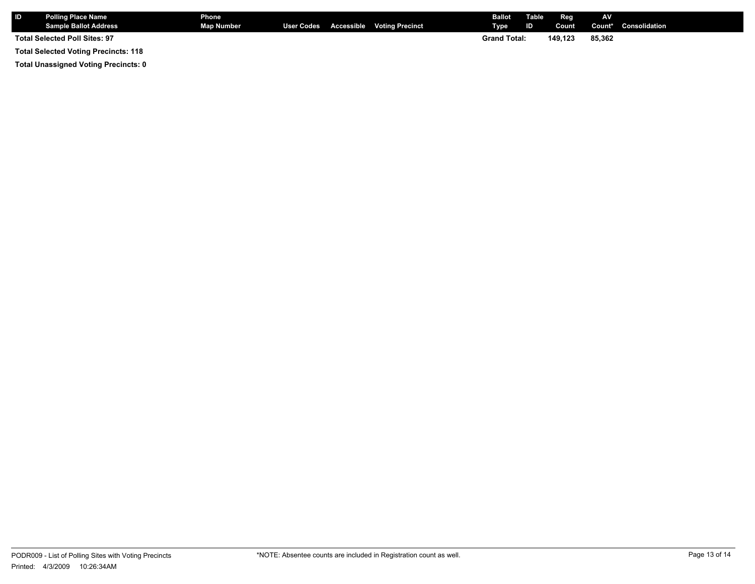|                                             | <b>Polling Place Name</b><br>Sample Ballot Address | Phone<br>Map Number |  |  | User Codes Accessible Voting Precinct | <b>Ballot</b> Table<br>Type | $\blacksquare$ D $\blacksquare$ | Reg<br>Count | AV.    | <b>Count*</b> Consolidation |
|---------------------------------------------|----------------------------------------------------|---------------------|--|--|---------------------------------------|-----------------------------|---------------------------------|--------------|--------|-----------------------------|
| <b>Total Selected Poll Sites: 97</b>        |                                                    |                     |  |  |                                       | <b>Grand Total:</b>         |                                 | 149.123      | 85.362 |                             |
| <b>Total Selected Voting Precincts: 118</b> |                                                    |                     |  |  |                                       |                             |                                 |              |        |                             |

**Total Unassigned Voting Precincts: 0**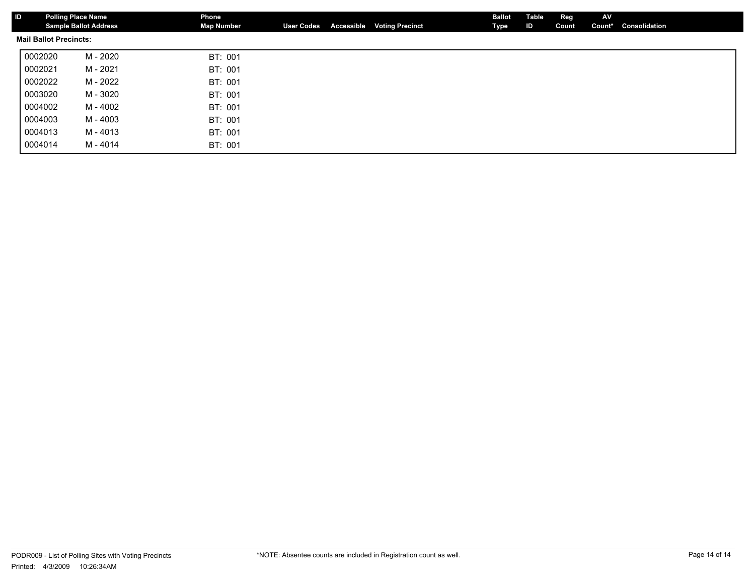| ID                            |         | <b>Polling Place Name</b><br><b>Sample Ballot Address</b> | Phone<br><b>Map Number</b> | <b>User Codes</b> | <b>Accessible Voting Precinct</b> | <b>Ballot</b><br>Type | Table<br>ID | Reg<br>Count | AV<br>Count* | Consolidation |
|-------------------------------|---------|-----------------------------------------------------------|----------------------------|-------------------|-----------------------------------|-----------------------|-------------|--------------|--------------|---------------|
| <b>Mail Ballot Precincts:</b> |         |                                                           |                            |                   |                                   |                       |             |              |              |               |
|                               | 0002020 | M - 2020                                                  | BT: 001                    |                   |                                   |                       |             |              |              |               |
|                               | 0002021 | M - 2021                                                  | BT: 001                    |                   |                                   |                       |             |              |              |               |
|                               | 0002022 | M - 2022                                                  | BT: 001                    |                   |                                   |                       |             |              |              |               |
|                               | 0003020 | M - 3020                                                  | BT: 001                    |                   |                                   |                       |             |              |              |               |
|                               | 0004002 | M - 4002                                                  | BT: 001                    |                   |                                   |                       |             |              |              |               |
|                               | 0004003 | M - 4003                                                  | BT: 001                    |                   |                                   |                       |             |              |              |               |
|                               | 0004013 | M - 4013                                                  | BT: 001                    |                   |                                   |                       |             |              |              |               |
|                               | 0004014 | M - 4014                                                  | BT: 001                    |                   |                                   |                       |             |              |              |               |